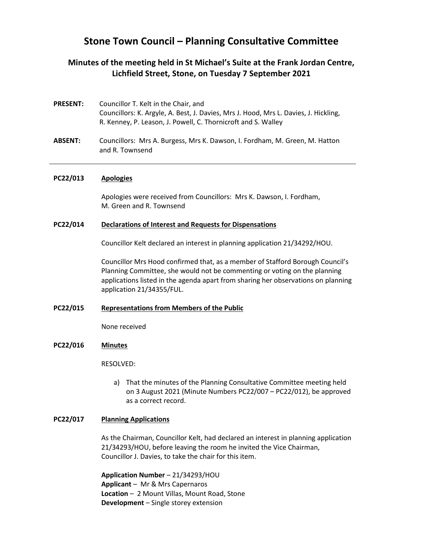# **Stone Town Council – Planning Consultative Committee**

# **Minutes of the meeting held in St Michael's Suite at the Frank Jordan Centre, Lichfield Street, Stone, on Tuesday 7 September 2021**

- **PRESENT:** Councillor T. Kelt in the Chair, and Councillors: K. Argyle, A. Best, J. Davies, Mrs J. Hood, Mrs L. Davies, J. Hickling, R. Kenney, P. Leason, J. Powell, C. Thornicroft and S. Walley
- **ABSENT:** Councillors: Mrs A. Burgess, Mrs K. Dawson, I. Fordham, M. Green, M. Hatton and R. Townsend

### **PC22/013 Apologies**

Apologies were received from Councillors: Mrs K. Dawson, I. Fordham, M. Green and R. Townsend

#### **PC22/014 Declarations of Interest and Requests for Dispensations**

Councillor Kelt declared an interest in planning application 21/34292/HOU.

Councillor Mrs Hood confirmed that, as a member of Stafford Borough Council's Planning Committee, she would not be commenting or voting on the planning applications listed in the agenda apart from sharing her observations on planning application 21/34355/FUL.

#### **PC22/015 Representations from Members of the Public**

None received

## **PC22/016 Minutes**

RESOLVED:

a) That the minutes of the Planning Consultative Committee meeting held on 3 August 2021 (Minute Numbers PC22/007 – PC22/012), be approved as a correct record.

#### **PC22/017 Planning Applications**

As the Chairman, Councillor Kelt, had declared an interest in planning application 21/34293/HOU, before leaving the room he invited the Vice Chairman, Councillor J. Davies, to take the chair for this item.

**Application Number** – 21/34293/HOU **Applicant** – Mr & Mrs Capernaros **Location** – 2 Mount Villas, Mount Road, Stone **Development** – Single storey extension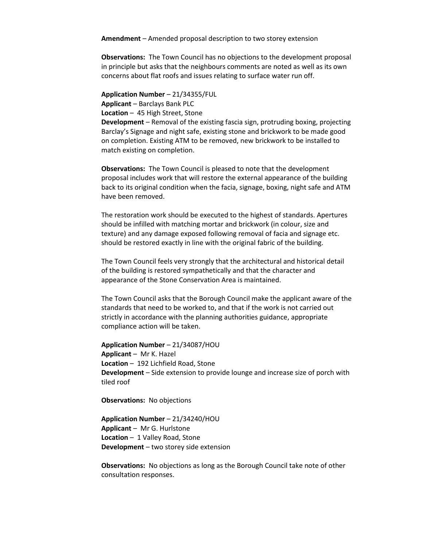**Amendment** – Amended proposal description to two storey extension

**Observations:** The Town Council has no objections to the development proposal in principle but asks that the neighbours comments are noted as well as its own concerns about flat roofs and issues relating to surface water run off.

**Application Number** – 21/34355/FUL

**Applicant** – Barclays Bank PLC

**Location** – 45 High Street, Stone

**Development** – Removal of the existing fascia sign, protruding boxing, projecting Barclay's Signage and night safe, existing stone and brickwork to be made good on completion. Existing ATM to be removed, new brickwork to be installed to match existing on completion.

**Observations:** The Town Council is pleased to note that the development proposal includes work that will restore the external appearance of the building back to its original condition when the facia, signage, boxing, night safe and ATM have been removed.

The restoration work should be executed to the highest of standards. Apertures should be infilled with matching mortar and brickwork (in colour, size and texture) and any damage exposed following removal of facia and signage etc. should be restored exactly in line with the original fabric of the building.

The Town Council feels very strongly that the architectural and historical detail of the building is restored sympathetically and that the character and appearance of the Stone Conservation Area is maintained.

The Town Council asks that the Borough Council make the applicant aware of the standards that need to be worked to, and that if the work is not carried out strictly in accordance with the planning authorities guidance, appropriate compliance action will be taken.

**Application Number** – 21/34087/HOU **Applicant** – Mr K. Hazel **Location** – 192 Lichfield Road, Stone **Development** – Side extension to provide lounge and increase size of porch with tiled roof

**Observations:** No objections

**Application Number** – 21/34240/HOU **Applicant** – Mr G. Hurlstone **Location** – 1 Valley Road, Stone **Development** – two storey side extension

**Observations:** No objections as long as the Borough Council take note of other consultation responses.